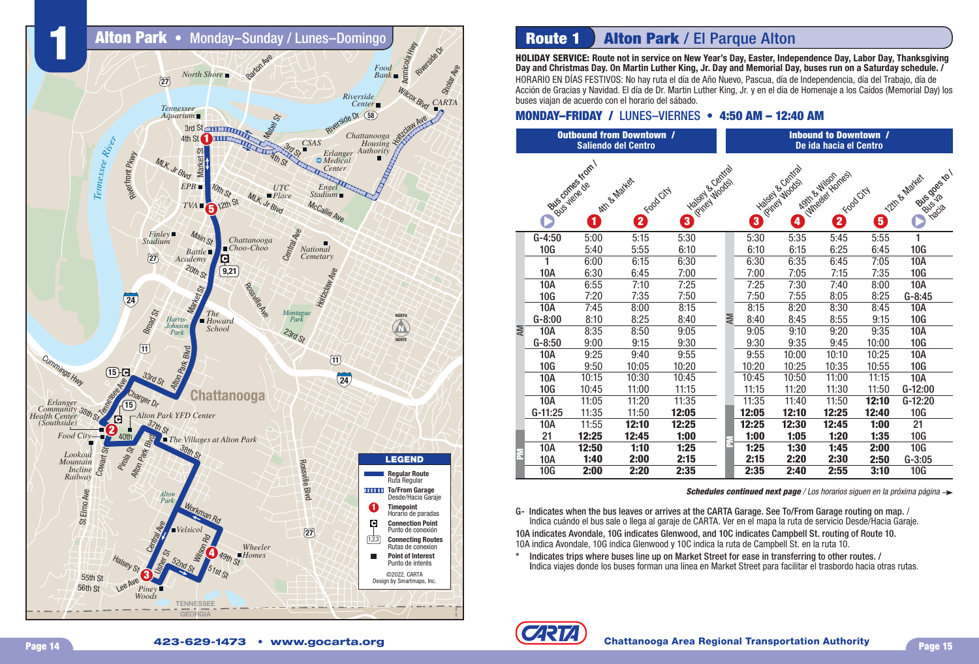

## **Route 1 Alton Park / El Parque Alton**

**HOLIDAY SERVICE: Route not in service on New Year's Day, Easter, Independence Day, Labor Day, Thanksgiving Day and Christmas Day. On Martin Luther King, Jr. Day and Memorial Day, buses run on a Saturday schedule. /**

HORARIO EN DÍAS FESTIVOS: No hay ruta el día de Año Nuevo, Pascua, día de Independencia, día del Trabajo, día de Acción de Gracias y Navidad. El día de Dr. Martin Luther King, Jr. y en el día de Homenaje a los Caídos (Memorial Day) los buses viajan de acuerdo con el horario del sábado.

### **MONDAY–FRIDAY / LUNES–VIERNES • 4:50 AM - 12:40 AM**

|     |            |                                     | <b>Outbound from Downtown /</b><br><b>Saliendo del Centro</b> |                        |    | <b>Inbound to Downtown /</b><br>De ida hacia el Centro |                                                |                                                    |       |                                                  |  |  |
|-----|------------|-------------------------------------|---------------------------------------------------------------|------------------------|----|--------------------------------------------------------|------------------------------------------------|----------------------------------------------------|-------|--------------------------------------------------|--|--|
|     |            | Bus comes from<br>Bus viene de<br>1 | Attr & Market<br><b>O</b> Franciscia                          | Hagista Contracto<br>3 |    | 3                                                      | Traicist de Contraction<br>$\boldsymbol{\Phi}$ | I different Homes<br>Agita et Wison<br>E Francisci | 6     | Bus goes to !<br>12th & Matest<br><b>Putsics</b> |  |  |
|     | $G-4:50$   | 5:00                                | 5:15                                                          | 5:30                   |    | 5:30                                                   | 5:35                                           | 5:45                                               | 5:55  | 1                                                |  |  |
|     | 10G        | 5:40                                | 5:55                                                          | 6:10                   |    | 6:10                                                   | 6:15                                           | 6:25                                               | 6:45  | 10G                                              |  |  |
|     | Î.         | 6:00                                | 6:15                                                          | 6:30                   |    | 6:30                                                   | 6:35                                           | 6:45                                               | 7:05  | <b>10A</b>                                       |  |  |
|     | 10A        | 6:30                                | 6:45                                                          | 7:00                   |    | 7:00                                                   | 7:05                                           | 7:15                                               | 7:35  | 10G                                              |  |  |
|     | <b>10A</b> | 6:55                                | 7:10                                                          | 7:25                   |    | 7:25                                                   | 7:30                                           | 7:40                                               | 8:00  | <b>10A</b>                                       |  |  |
|     | 10G        | 7:20                                | 7:35                                                          | 7:50                   |    | 7:50                                                   | 7:55                                           | 8:05                                               | 8:25  | $G-8:45$                                         |  |  |
|     | <b>10A</b> | 7:45                                | 8:00                                                          | 8:15                   |    | 8:15                                                   | 8:20                                           | 8:30                                               | 8:45  | <b>10A</b>                                       |  |  |
|     | $G-8:00$   | 8:10                                | 8:25                                                          | 8:40                   | NΝ | 8:40                                                   | 8:45                                           | 8:55                                               | 9:15  | 10G                                              |  |  |
| AM, | <b>10A</b> | 8:35                                | 8:50                                                          | 9:05                   |    | 9:05                                                   | 9:10                                           | 9:20                                               | 9:35  | <b>10A</b>                                       |  |  |
|     | $G-8:50$   | 9:00                                | 9:15                                                          | 9:30                   |    | 9:30                                                   | 9:35                                           | 9:45                                               | 10:00 | 10G                                              |  |  |
|     | 10A        | 9:25                                | 9:40                                                          | 9:55                   |    | 9:55                                                   | 10:00                                          | 10:10                                              | 10:25 | 10A                                              |  |  |
|     | 10G        | 9:50                                | 10:05                                                         | 10:20                  |    | 10:20                                                  | 10:25                                          | 10:35                                              | 10:55 | 10G                                              |  |  |
|     | 10A        | 10:15                               | 10:30                                                         | 10:45                  |    | 10:45                                                  | 10:50                                          | 11:00                                              | 11:15 | <b>10A</b>                                       |  |  |
|     | 10G        | 10:45                               | 11:00                                                         | 11:15                  |    | 11:15                                                  | 11:20                                          | 11:30                                              | 11:50 | G-12:00                                          |  |  |
|     | 10A        | 11:05                               | 11:20                                                         | 11:35                  |    | 11:35                                                  | 11:40                                          | 11:50                                              | 12:10 | G-12:20                                          |  |  |
|     | $G-11:25$  | 11:35                               | 11:50                                                         | 12:05                  |    | 12:05                                                  | 12:10                                          | 12:25                                              | 12:40 | 10G                                              |  |  |
|     | 10A        | 11:55                               | 12:10                                                         | 12:25                  |    | 12:25                                                  | 12:30                                          | 12:45                                              | 1:00  | 21                                               |  |  |
|     | 21         | 12:25                               | 12:45                                                         | 1:00                   |    | 1:00                                                   | 1:05                                           | 1:20                                               | 1:35  | 10G                                              |  |  |
|     | 10A        | 12:50                               | 1:10                                                          | 1:25                   |    | 1:25                                                   | 1:30                                           | 1:45                                               | 2:00  | 10G                                              |  |  |
| Ē   | 10A        | 1:40                                | 2:00                                                          | 2:15                   |    | 2:15                                                   | 2:20                                           | 2:30                                               | 2:50  | $G-3:05$                                         |  |  |
|     | 10G        | 2:00                                | 2:20                                                          | 2:35                   |    | 2:35                                                   | 2:40                                           | 2:55                                               | 3:10  | 10G                                              |  |  |

**Schedules continued next page** / Los horarios siguen en la próxima página  $\rightarrow$ 

G- Indicates when the bus leaves or arrives at the CARTA Garage. See To/From Garage routing on map. / Indica cuándo el bus sale o llega al garaje de CARTA. Ver en el mapa la ruta de servicio Desde/Hacia Garaje. 10A indicates Avondale, 10G indicates Glenwood, and 10C indicates Campbell St. routing of Route 10. 10A indica Avondale, 10G indica Glenwood y 10C indica la ruta de Campbell St. en la ruta 10.

\* Indicates trips where buses line up on Market Street for ease in transferring to other routes. / Indica viajes donde los buses forman una línea en Market Street para facilitar el trasbordo hacia otras rutas.

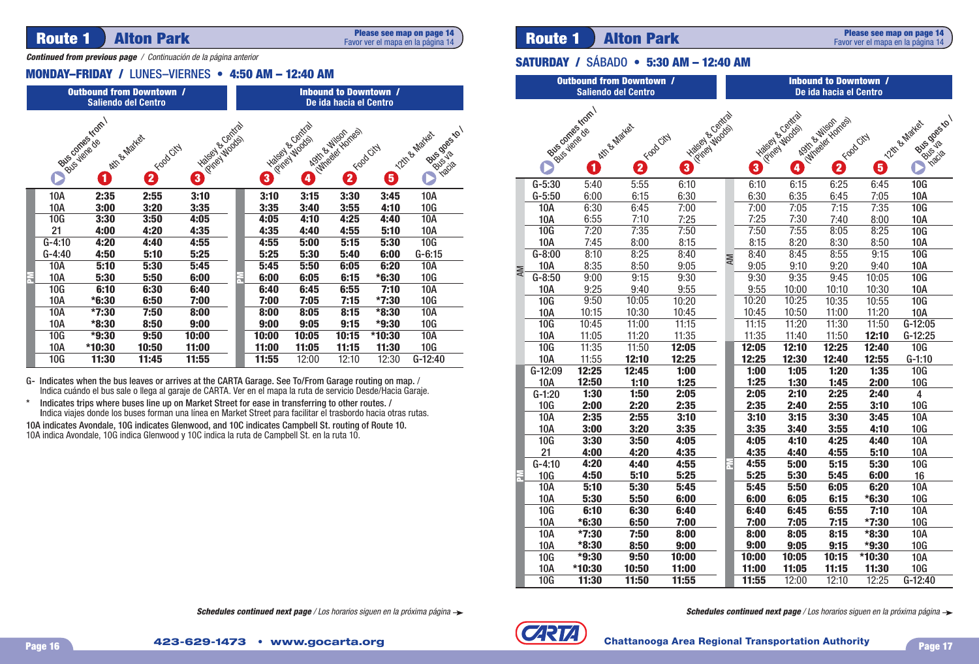# **Route 1 | Alton Park Route 1 Alton Park Reserved Magadia** *Reserved mapa* and a página 14 | **Route 1 | Alton Park**

**Please see map on page 14** Favor ver el mapa en la página 14

*Continued from previous page* / Continuación de la página anterior

### **MONDAY–FRIDAY / LUNES–VIERNES • 4:50 AM - 12:40 AM**

| <b>Outbound from Downtown /</b><br><b>Saliendo del Centro</b>                                                                                                                                                      |                                                                                                              |         |       | <b>Inbound to Downtown /</b><br>De ida hacia el Centro |  |                                                                                                          |       |       |         | <b>Saliendo del Centro</b> |     |                                         |                       |              |                       |
|--------------------------------------------------------------------------------------------------------------------------------------------------------------------------------------------------------------------|--------------------------------------------------------------------------------------------------------------|---------|-------|--------------------------------------------------------|--|----------------------------------------------------------------------------------------------------------|-------|-------|---------|----------------------------|-----|-----------------------------------------|-----------------------|--------------|-----------------------|
|                                                                                                                                                                                                                    | Rus competition<br>Transportation<br>Attre Market<br><b>P</b> Food City<br>0<br>3                            |         |       |                                                        |  | Hanga Hoods<br>Ribertonia Ida<br>Active Red Kontes<br>12th & Martes<br><b>P</b> Food City<br>8<br>0<br>Ø |       |       |         |                            |     | Bus competition /<br>Attn & Martex<br>0 |                       |              | $\zeta^{\delta}$<br>2 |
|                                                                                                                                                                                                                    | 10A                                                                                                          | 2:35    | 2:55  | 3:10                                                   |  | 3:10                                                                                                     | 3:15  | 3:30  | 3:45    | 10A                        |     |                                         | $G-5:30$<br>$G-5:50$  | 5:40<br>6:00 | 5:55<br>6:15          |
|                                                                                                                                                                                                                    | <b>10A</b>                                                                                                   | 3:00    | 3:20  | 3:35                                                   |  | 3:35                                                                                                     | 3:40  | 3:55  | 4:10    | 10G                        |     |                                         | <b>10A</b>            | 6:30         | 6:45                  |
|                                                                                                                                                                                                                    | 10 <sub>G</sub>                                                                                              | 3:30    | 3:50  | 4:05                                                   |  | 4:05                                                                                                     | 4:10  | 4:25  | 4:40    | 10A                        |     |                                         | 10A                   | 6:55         | 7:10                  |
|                                                                                                                                                                                                                    | 21                                                                                                           | 4:00    | 4:20  | 4:35                                                   |  | 4:35                                                                                                     | 4:40  | 4:55  | 5:10    | <b>10A</b>                 |     |                                         | 10G                   | 7:20         | 7:35                  |
|                                                                                                                                                                                                                    | $G-4:10$                                                                                                     | 4:20    | 4:40  | 4:55                                                   |  | 4:55                                                                                                     | 5:00  | 5:15  | 5:30    | 10G                        |     |                                         | 10A                   | 7:45         | 8:00                  |
|                                                                                                                                                                                                                    | $G-4:40$                                                                                                     | 4:50    | 5:10  | 5:25                                                   |  | 5:25                                                                                                     | 5:30  | 5:40  | 6:00    | $G-6:15$                   |     |                                         | $\overline{G} - 8:00$ | 8:10         | 8:25                  |
|                                                                                                                                                                                                                    | <b>10A</b>                                                                                                   | 5:10    | 5:30  | 5:45                                                   |  | 5:45                                                                                                     | 5:50  | 6:05  | 6:20    | <b>10A</b>                 | AM  |                                         | <b>10A</b>            | 8:35         | 8:50                  |
| E                                                                                                                                                                                                                  | <b>10A</b>                                                                                                   | 5:30    | 5:50  | 6:00                                                   |  | 6:00                                                                                                     | 6:05  | 6:15  | $*6:30$ | 10G                        |     |                                         | $\overline{G} - 8:50$ | 9:00         | 9:15                  |
|                                                                                                                                                                                                                    | 10G                                                                                                          | 6:10    | 6:30  | 6:40                                                   |  | 6:40                                                                                                     | 6:45  | 6:55  | 7:10    | 10A                        |     |                                         | <b>10A</b>            | 9:25         | 9:40                  |
|                                                                                                                                                                                                                    | 10A                                                                                                          | $*6:30$ | 6:50  | 7:00                                                   |  | 7:00                                                                                                     | 7:05  | 7:15  | $*7:30$ | 10G                        |     |                                         | 10G                   | 9:50         | 10:05                 |
|                                                                                                                                                                                                                    | <b>10A</b>                                                                                                   | $*7:30$ | 7:50  | 8:00                                                   |  | 8:00                                                                                                     | 8:05  | 8:15  | *8:30   | <b>10A</b>                 |     |                                         | <b>10A</b>            | 10:15        | 10:30                 |
|                                                                                                                                                                                                                    | <b>10A</b>                                                                                                   | *8:30   | 8:50  | 9:00                                                   |  | 9:00                                                                                                     | 9:05  | 9:15  | $*9:30$ | 10G                        |     |                                         | 10G                   | 10:45        | 11:00                 |
|                                                                                                                                                                                                                    | 10G                                                                                                          | $*9:30$ | 9:50  | 10:00                                                  |  | 10:00                                                                                                    | 10:05 | 10:15 | *10:30  | <b>10A</b>                 |     |                                         | <b>10A</b>            | 11:05        | 11:20                 |
|                                                                                                                                                                                                                    | 10A                                                                                                          | *10:30  | 10:50 | 11:00                                                  |  | 11:00                                                                                                    | 11:05 | 11:15 | 11:30   | 10G                        |     |                                         | 10G                   | 11:35        | 11:50                 |
|                                                                                                                                                                                                                    | 10G                                                                                                          | 11:30   | 11:45 | 11:55                                                  |  | 11:55                                                                                                    | 12:00 | 12:10 | 12:30   | $G-12:40$                  |     |                                         | <b>10A</b>            | 11:55        | 12:10                 |
|                                                                                                                                                                                                                    |                                                                                                              |         |       |                                                        |  |                                                                                                          |       |       |         |                            |     |                                         | $G-12:09$             | 12:25        | 12:45                 |
|                                                                                                                                                                                                                    | G- Indicates when the bus leaves or arrives at the CARTA Garage. See To/From Garage routing on map. /        |         |       |                                                        |  |                                                                                                          |       |       |         |                            |     | <b>10A</b>                              | 12:50                 | 1:10         |                       |
| $\star$                                                                                                                                                                                                            | Indica cuándo el bus sale o llega al garaje de CARTA. Ver en el mapa la ruta de servicio Desde/Hacia Garaje. |         |       |                                                        |  |                                                                                                          |       |       |         |                            |     |                                         | $G-1:20$              | 1:30         | 1:50                  |
| Indicates trips where buses line up on Market Street for ease in transferring to other routes. /<br>Indica viajes donde los buses forman una línea en Market Street para facilitar el trasbordo hacia otras rutas. |                                                                                                              |         |       |                                                        |  |                                                                                                          |       |       |         |                            | 10G | 2:00                                    | 2:20                  |              |                       |
|                                                                                                                                                                                                                    | 10A indicates Avondale, 10G indicates Glenwood, and 10C indicates Campbell St. routing of Route 10.          |         |       |                                                        |  |                                                                                                          |       |       |         |                            |     | <b>10A</b>                              | 2:35                  | 2:55         |                       |
|                                                                                                                                                                                                                    | 10A indica Avondale, 10G indica Glenwood y 10C indica la ruta de Campbell St. en la ruta 10.                 |         |       |                                                        |  |                                                                                                          |       |       |         |                            |     | <b>10A</b>                              | 3:00                  | 3:20         |                       |
|                                                                                                                                                                                                                    |                                                                                                              |         |       |                                                        |  |                                                                                                          |       |       |         |                            |     | 10C                                     | 2.20                  | 2.50         |                       |

- G- Indicates when the bus leaves or arrives at the CARTA Garage. See To/From Garage routing on map. / Indica cuándo el bus sale o llega al garaje de CARTA. Ver en el mapa la ruta de servicio Desde/Hacia Garaje.
- \* Indicates trips where buses line up on Market Street for ease in transferring to other routes. / Indica viajes donde los buses forman una línea en Market Street para facilitar el trasbordo hacia otras rutas.

### **Please see map on page 14** Favor ver el mapa en la página 14

## **SATURDAY / SÁBADO • 5:30 AM - 12:40 AM**

| <b>Outbound from Downtown /</b><br><b>Saliendo del Centro</b> |                          |                           |                              |                                       |    | <b>Inbound to Downtown /</b><br>De ida hacia el Centro |                                  |                                                         |              |                                               |  |  |
|---------------------------------------------------------------|--------------------------|---------------------------|------------------------------|---------------------------------------|----|--------------------------------------------------------|----------------------------------|---------------------------------------------------------|--------------|-----------------------------------------------|--|--|
|                                                               |                          | Bube canalogue of om<br>1 | Attr & Matter<br>E Francisci | <b>HABITALISM</b><br>California Woods |    |                                                        | Hapes Contra<br>California Woods | I divisor in the Society<br>Asia Bullison<br>E Foodcray | 0            | Bitchdosckol<br>12th & Mates<br><b>Inacia</b> |  |  |
|                                                               | $G-5:30$                 | 5:40                      | 5:55                         | 6:10                                  |    | 6:10                                                   | 6:15                             | 6:25                                                    | 6:45         | 10G                                           |  |  |
|                                                               | $G-5:50$                 | 6:00                      | 6:15                         | 6:30                                  |    | 6:30                                                   | 6:35                             | 6:45                                                    | 7:05         | <b>10A</b>                                    |  |  |
|                                                               | <b>10A</b>               | 6:30                      | 6:45                         | 7:00                                  |    | 7:00                                                   | 7:05                             | 7:15                                                    | 7:35         | 10G                                           |  |  |
|                                                               | <b>10A</b>               | 6:55                      | 7:10                         | 7:25                                  |    | 7:25                                                   | 7:30                             | 7:40                                                    | 8:00         | <b>10A</b>                                    |  |  |
|                                                               | 10G                      | 7:20                      | 7:35                         | 7:50                                  |    | 7:50                                                   | 7:55                             | 8:05                                                    | 8:25         | 10G                                           |  |  |
|                                                               | <b>10A</b>               | 7:45                      | 8:00                         | 8:15                                  |    | 8:15                                                   | 8:20                             | 8:30                                                    | 8:50         | <b>10A</b>                                    |  |  |
|                                                               | $G-8:00$                 | 8:10                      | 8:25                         | 8:40                                  | AM | 8:40                                                   | 8:45                             | 8:55                                                    | 9:15         | 10G                                           |  |  |
| <b>AM</b>                                                     | <b>10A</b>               | 8:35                      | 8:50                         | 9:05                                  |    | 9:05                                                   | 9:10                             | 9:20                                                    | 9:40         | <b>10A</b>                                    |  |  |
|                                                               | $G-8:50$                 | 9:00                      | 9:15                         | 9:30                                  |    | 9:30                                                   | 9:35                             | 9:45                                                    | 10:05        | 10G                                           |  |  |
|                                                               | <b>10A</b>               | 9:25                      | 9:40                         | 9:55                                  |    | 9:55                                                   | 10:00                            | 10:10                                                   | 10:30        | <b>10A</b>                                    |  |  |
|                                                               | 10G                      | 9:50                      | 10:05                        | 10:20                                 |    | 10:20                                                  | 10:25                            | 10:35                                                   | 10:55        | 10G                                           |  |  |
|                                                               | <b>10A</b>               | 10:15                     | 10:30                        | 10:45                                 |    | 10:45                                                  | 10:50                            | 11:00                                                   | 11:20        | <b>10A</b>                                    |  |  |
|                                                               | 10G                      | 10:45                     | 11:00                        | 11:15                                 |    | 11:15                                                  | 11:20                            | 11:30                                                   | 11:50        | $G-12:05$                                     |  |  |
|                                                               | <b>10A</b>               | 11:05                     | 11:20                        | 11:35                                 |    | 11:35                                                  | 11:40                            | 11:50                                                   | 12:10        | $G-12:25$                                     |  |  |
|                                                               | <b>10G</b>               | 11:35                     | 11:50                        | 12:05                                 |    | 12:05                                                  | 12:10                            | 12:25                                                   | 12:40        | <b>10G</b>                                    |  |  |
|                                                               | <b>10A</b>               | 11:55                     | 12:10                        | 12:25                                 |    | 12:25                                                  | 12:30                            | 12:40                                                   | 12:55        | $G-1:10$                                      |  |  |
|                                                               | G-12:09                  | 12:25                     | 12:45                        | 1:00                                  |    | 1:00                                                   | 1:05                             | 1:20                                                    | 1:35         | 10G                                           |  |  |
|                                                               | <b>10A</b>               | 12:50                     | 1:10                         | 1:25                                  |    | 1:25                                                   | 1:30                             | 1:45                                                    | 2:00         | <b>10G</b>                                    |  |  |
|                                                               | $G-1:20$                 | 1:30                      | 1:50                         | 2:05                                  |    | 2:05                                                   | 2:10<br>2:40                     | 2:25                                                    | 2:40<br>3:10 | 4                                             |  |  |
|                                                               | <b>10G</b><br><b>10A</b> | 2:00<br>2:35              | 2:20<br>2:55                 | 2:35<br>3:10                          |    | 2:35<br>3:10                                           | 3:15                             | 2:55<br>3:30                                            | 3:45         | <b>10G</b><br>10A                             |  |  |
|                                                               | <b>10A</b>               | 3:00                      | 3:20                         | 3:35                                  |    | 3:35                                                   | 3:40                             | 3:55                                                    | 4:10         | 10G                                           |  |  |
|                                                               | <b>10G</b>               | 3:30                      | 3:50                         | 4:05                                  |    | 4:05                                                   | 4:10                             | 4:25                                                    | 4:40         | 10A                                           |  |  |
|                                                               | 21                       | 4:00                      | 4:20                         | 4:35                                  |    | 4:35                                                   | 4:40                             | 4:55                                                    | 5:10         | 10A                                           |  |  |
|                                                               | $G-4:10$                 | 4:20                      | 4:40                         | 4:55                                  |    | 4:55                                                   | 5:00                             | 5:15                                                    | 5:30         | 10G                                           |  |  |
| Ħ                                                             | 10G                      | 4:50                      | 5:10                         | 5:25                                  |    | 5:25                                                   | 5:30                             | 5:45                                                    | 6:00         | 16                                            |  |  |
|                                                               | <b>10A</b>               | 5:10                      | 5:30                         | 5:45                                  |    | 5:45                                                   | 5:50                             | 6:05                                                    | 6:20         | 10A                                           |  |  |
|                                                               | <b>10A</b>               | 5:30                      | 5:50                         | 6:00                                  |    | 6:00                                                   | 6:05                             | 6:15                                                    | $*6:30$      | 10G                                           |  |  |
|                                                               | 10G                      | 6:10                      | 6:30                         | 6:40                                  |    | 6:40                                                   | 6:45                             | 6:55                                                    | 7:10         | <b>10A</b>                                    |  |  |
|                                                               | <b>10A</b>               | $*6:30$                   | 6:50                         | 7:00                                  |    | 7:00                                                   | 7:05                             | 7:15                                                    | $*7:30$      | 10G                                           |  |  |
|                                                               | <b>10A</b>               | *7:30                     | 7:50                         | 8:00                                  |    | 8:00                                                   | 8:05                             | 8:15                                                    | *8:30        | <b>10A</b>                                    |  |  |
|                                                               | <b>10A</b>               | $*8:30$                   | 8:50                         | 9:00                                  |    | 9:00                                                   | 9:05                             | 9:15                                                    | *9:30        | 10G                                           |  |  |
|                                                               | 10G                      | *9:30                     | 9:50                         | 10:00                                 |    | 10:00                                                  | 10:05                            | 10:15                                                   | *10:30       | <b>10A</b>                                    |  |  |
|                                                               | <b>10A</b>               | *10:30                    | 10:50                        | 11:00                                 |    | 11:00                                                  | 11:05                            | 11:15                                                   | 11:30        | <b>10G</b>                                    |  |  |
|                                                               | 10G                      | 11:30                     | 11:50                        | 11:55                                 |    | 11:55                                                  | 12:00                            | 12:10                                                   | 12:25        | $G-12:40$                                     |  |  |



**Schedules continued next page** / Los horarios siguen en la próxima página  $\rightarrow$